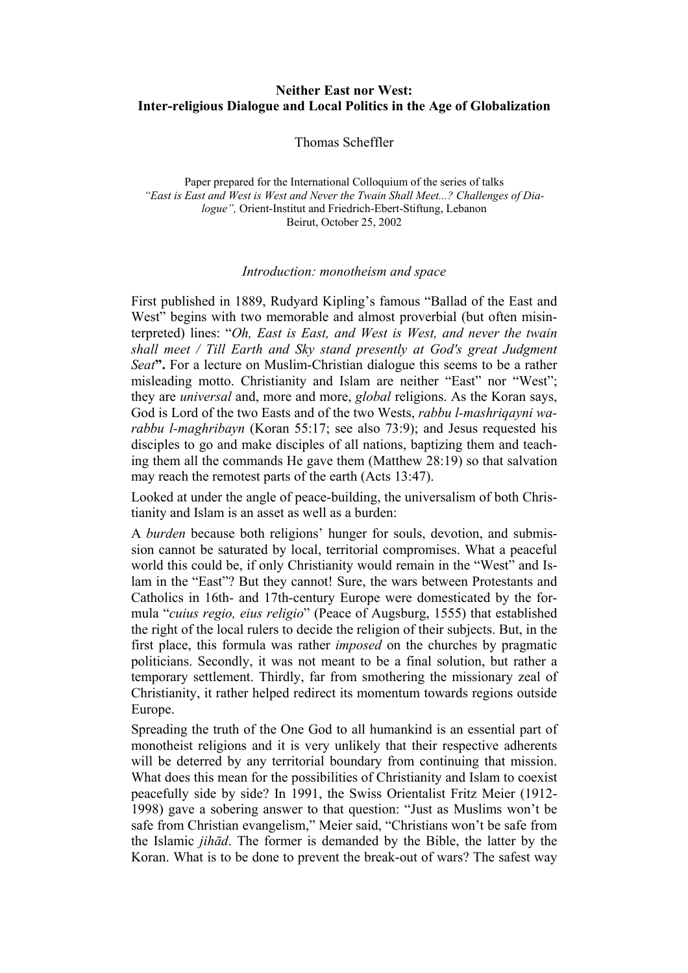# **Neither East nor West: Inter-religious Dialogue and Local Politics in the Age of Globalization**

Thomas Scheffler

Paper prepared for the International Colloquium of the series of talks *"East is East and West is West and Never the Twain Shall Meet...? Challenges of Dialogue",* Orient-Institut and Friedrich-Ebert-Stiftung, Lebanon Beirut, October 25, 2002

### *Introduction: monotheism and space*

First published in 1889, Rudyard Kipling's famous "Ballad of the East and West" begins with two memorable and almost proverbial (but often misinterpreted) lines: "*Oh, East is East, and West is West, and never the twain shall meet / Till Earth and Sky stand presently at God's great Judgment Seat***".** For a lecture on Muslim-Christian dialogue this seems to be a rather misleading motto. Christianity and Islam are neither "East" nor "West"; they are *universal* and, more and more, *global* religions. As the Koran says, God is Lord of the two Easts and of the two Wests, *rabbu l-mashriqayni warabbu l-maghribayn* (Koran 55:17; see also 73:9); and Jesus requested his disciples to go and make disciples of all nations, baptizing them and teaching them all the commands He gave them (Matthew 28:19) so that salvation may reach the remotest parts of the earth (Acts 13:47).

Looked at under the angle of peace-building, the universalism of both Christianity and Islam is an asset as well as a burden:

A *burden* because both religions' hunger for souls, devotion, and submission cannot be saturated by local, territorial compromises. What a peaceful world this could be, if only Christianity would remain in the "West" and Islam in the "East"? But they cannot! Sure, the wars between Protestants and Catholics in 16th- and 17th-century Europe were domesticated by the formula "*cuius regio, eius religio*" (Peace of Augsburg, 1555) that established the right of the local rulers to decide the religion of their subjects. But, in the first place, this formula was rather *imposed* on the churches by pragmatic politicians. Secondly, it was not meant to be a final solution, but rather a temporary settlement. Thirdly, far from smothering the missionary zeal of Christianity, it rather helped redirect its momentum towards regions outside Europe.

Spreading the truth of the One God to all humankind is an essential part of monotheist religions and it is very unlikely that their respective adherents will be deterred by any territorial boundary from continuing that mission. What does this mean for the possibilities of Christianity and Islam to coexist peacefully side by side? In 1991, the Swiss Orientalist Fritz Meier (1912- 1998) gave a sobering answer to that question: "Just as Muslims won't be safe from Christian evangelism," Meier said, "Christians won't be safe from the Islamic *jihād*. The former is demanded by the Bible, the latter by the Koran. What is to be done to prevent the break-out of wars? The safest way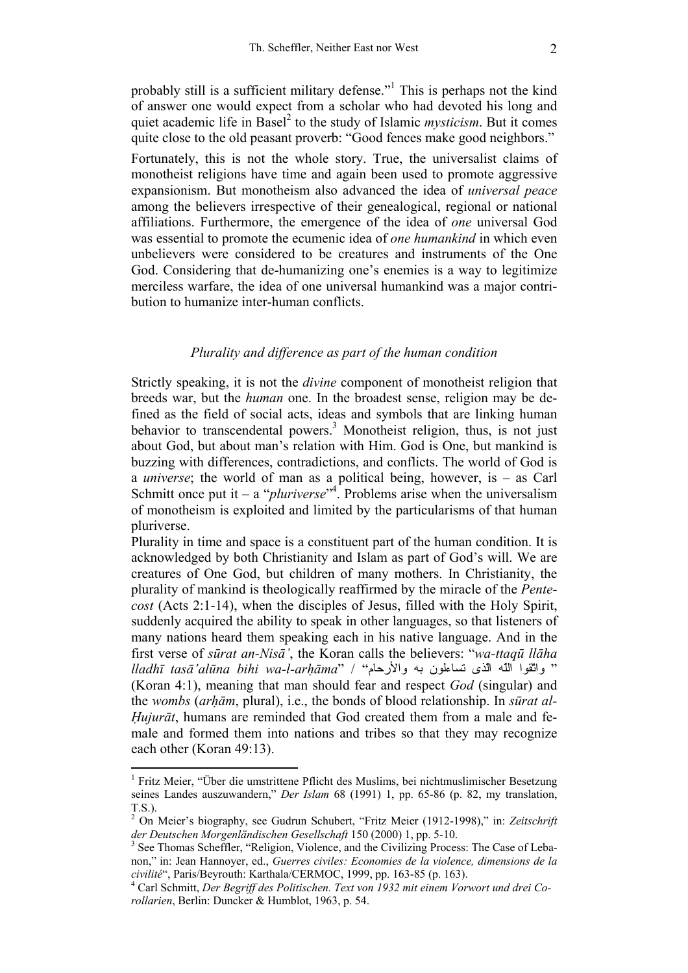probably still is a sufficient military defense."<sup>1</sup> This is perhaps not the kind of answer one would expect from a scholar who had devoted his long and quiet academic life in Basel<sup>2</sup> to the study of Islamic *mysticism*. But it comes quite close to the old peasant proverb: "Good fences make good neighbors."

Fortunately, this is not the whole story. True, the universalist claims of monotheist religions have time and again been used to promote aggressive expansionism. But monotheism also advanced the idea of *universal peace*  among the believers irrespective of their genealogical, regional or national affiliations. Furthermore, the emergence of the idea of *one* universal God was essential to promote the ecumenic idea of *one humankind* in which even unbelievers were considered to be creatures and instruments of the One God. Considering that de-humanizing one's enemies is a way to legitimize merciless warfare, the idea of one universal humankind was a major contribution to humanize inter-human conflicts.

## *Plurality and difference as part of the human condition*

Strictly speaking, it is not the *divine* component of monotheist religion that breeds war, but the *human* one. In the broadest sense, religion may be defined as the field of social acts, ideas and symbols that are linking human behavior to transcendental powers.<sup>3</sup> Monotheist religion, thus, is not just about God, but about man's relation with Him. God is One, but mankind is buzzing with differences, contradictions, and conflicts. The world of God is a *universe*; the world of man as a political being, however, is – as Carl Schmitt once put it – a "*pluriverse*"<sup>4</sup>. Problems arise when the universalism of monotheism is exploited and limited by the particularisms of that human pluriverse.

Plurality in time and space is a constituent part of the human condition. It is acknowledged by both Christianity and Islam as part of God's will. We are creatures of One God, but children of many mothers. In Christianity, the plurality of mankind is theologically reaffirmed by the miracle of the *Pentecost* (Acts 2:1-14), when the disciples of Jesus, filled with the Holy Spirit, suddenly acquired the ability to speak in other languages, so that listeners of many nations heard them speaking each in his native language. And in the first verse of *sūrat an-Nisā'*, the Koran calls the believers: "*wa-ttaqū llāha*  " واتّقوا اللّه الّذى تساءلون به والأرحام" / "*arhāma-l-wa bihi alūna'tasā lladhī* (Koran 4:1), meaning that man should fear and respect *God* (singular) and the *wombs* (*arhām*, plural), i.e., the bonds of blood relationship. In *sūrat al-Hujurāt*, humans are reminded that God created them from a male and female and formed them into nations and tribes so that they may recognize each other (Koran 49:13).

<sup>&</sup>lt;sup>1</sup> Fritz Meier, "Über die umstrittene Pflicht des Muslims, bei nichtmuslimischer Besetzung seines Landes auszuwandern," *Der Islam* 68 (1991) 1, pp. 65-86 (p. 82, my translation, T.S.).

<sup>2</sup> On Meier's biography, see Gudrun Schubert, "Fritz Meier (1912-1998)," in: *Zeitschrift der Deutschen Morgenländischen Gesellschaft* 150 (2000) 1, pp. 5-10. 3

<sup>&</sup>lt;sup>3</sup> See Thomas Scheffler, "Religion, Violence, and the Civilizing Process: The Case of Lebanon," in: Jean Hannoyer, ed., *Guerres civiles: Economies de la violence, dimensions de la civilité*", Paris/Beyrouth: Karthala/CERMOC, 1999, pp. 163-85 (p. 163). 4

Carl Schmitt, *Der Begriff des Politischen. Text von 1932 mit einem Vorwort und drei Corollarien*, Berlin: Duncker & Humblot, 1963, p. 54.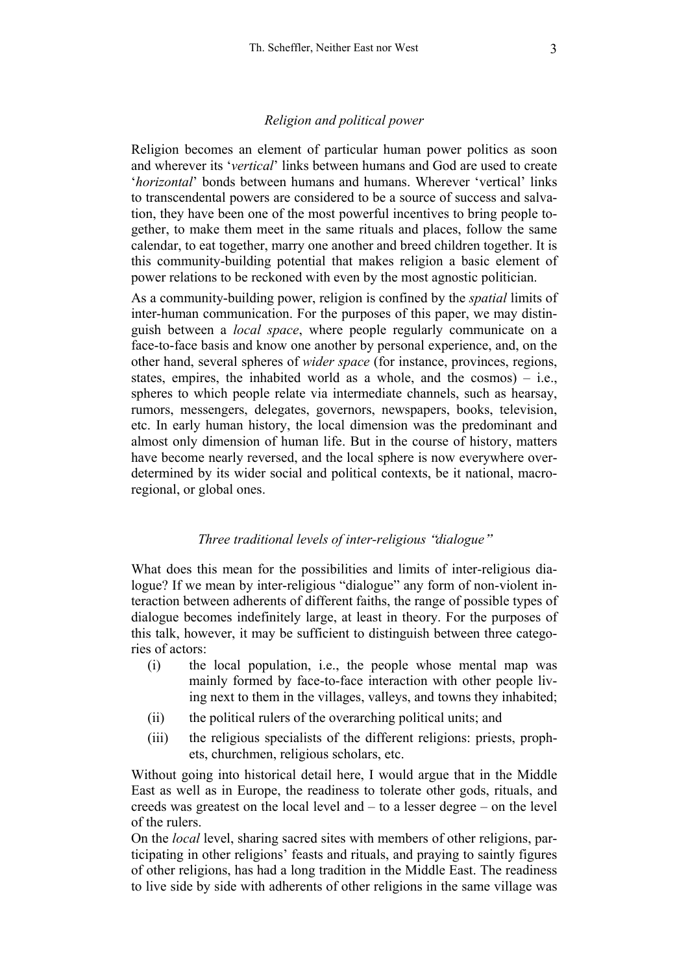### *Religion and political power*

Religion becomes an element of particular human power politics as soon and wherever its '*vertical*' links between humans and God are used to create '*horizontal*' bonds between humans and humans. Wherever 'vertical' links to transcendental powers are considered to be a source of success and salvation, they have been one of the most powerful incentives to bring people together, to make them meet in the same rituals and places, follow the same calendar, to eat together, marry one another and breed children together. It is this community-building potential that makes religion a basic element of power relations to be reckoned with even by the most agnostic politician.

As a community-building power, religion is confined by the *spatial* limits of inter-human communication. For the purposes of this paper, we may distinguish between a *local space*, where people regularly communicate on a face-to-face basis and know one another by personal experience, and, on the other hand, several spheres of *wider space* (for instance, provinces, regions, states, empires, the inhabited world as a whole, and the cosmos)  $-$  i.e., spheres to which people relate via intermediate channels, such as hearsay, rumors, messengers, delegates, governors, newspapers, books, television, etc. In early human history, the local dimension was the predominant and almost only dimension of human life. But in the course of history, matters have become nearly reversed, and the local sphere is now everywhere overdetermined by its wider social and political contexts, be it national, macroregional, or global ones.

### *Three traditional levels of inter-religious* "*dialogue*"

What does this mean for the possibilities and limits of inter-religious dialogue? If we mean by inter-religious "dialogue" any form of non-violent interaction between adherents of different faiths, the range of possible types of dialogue becomes indefinitely large, at least in theory. For the purposes of this talk, however, it may be sufficient to distinguish between three categories of actors:

- (i) the local population, i.e., the people whose mental map was mainly formed by face-to-face interaction with other people living next to them in the villages, valleys, and towns they inhabited;
- (ii) the political rulers of the overarching political units; and
- (iii) the religious specialists of the different religions: priests, prophets, churchmen, religious scholars, etc.

Without going into historical detail here, I would argue that in the Middle East as well as in Europe, the readiness to tolerate other gods, rituals, and creeds was greatest on the local level and – to a lesser degree – on the level of the rulers.

On the *local* level, sharing sacred sites with members of other religions, participating in other religions' feasts and rituals, and praying to saintly figures of other religions, has had a long tradition in the Middle East. The readiness to live side by side with adherents of other religions in the same village was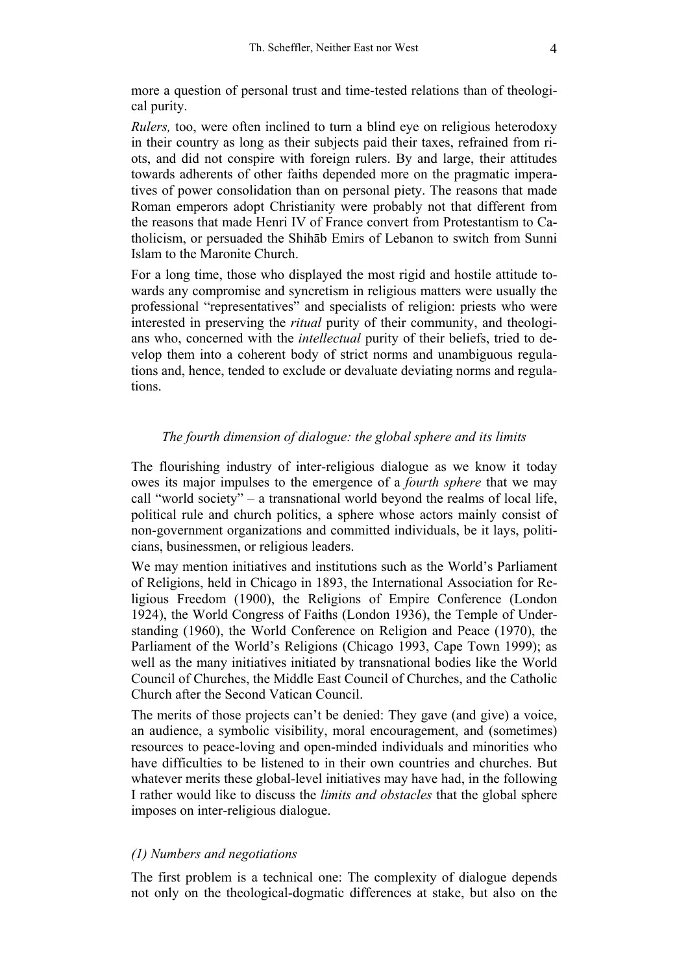more a question of personal trust and time-tested relations than of theological purity.

*Rulers,* too, were often inclined to turn a blind eye on religious heterodoxy in their country as long as their subjects paid their taxes, refrained from riots, and did not conspire with foreign rulers. By and large, their attitudes towards adherents of other faiths depended more on the pragmatic imperatives of power consolidation than on personal piety. The reasons that made Roman emperors adopt Christianity were probably not that different from the reasons that made Henri IV of France convert from Protestantism to Catholicism, or persuaded the Shihāb Emirs of Lebanon to switch from Sunni Islam to the Maronite Church.

For a long time, those who displayed the most rigid and hostile attitude towards any compromise and syncretism in religious matters were usually the professional "representatives" and specialists of religion: priests who were interested in preserving the *ritual* purity of their community, and theologians who, concerned with the *intellectual* purity of their beliefs, tried to develop them into a coherent body of strict norms and unambiguous regulations and, hence, tended to exclude or devaluate deviating norms and regulations.

## *The fourth dimension of dialogue: the global sphere and its limits*

The flourishing industry of inter-religious dialogue as we know it today owes its major impulses to the emergence of a *fourth sphere* that we may call "world society" – a transnational world beyond the realms of local life, political rule and church politics, a sphere whose actors mainly consist of non-government organizations and committed individuals, be it lays, politicians, businessmen, or religious leaders.

We may mention initiatives and institutions such as the World's Parliament of Religions, held in Chicago in 1893, the International Association for Religious Freedom (1900), the Religions of Empire Conference (London 1924), the World Congress of Faiths (London 1936), the Temple of Understanding (1960), the World Conference on Religion and Peace (1970), the Parliament of the World's Religions (Chicago 1993, Cape Town 1999); as well as the many initiatives initiated by transnational bodies like the World Council of Churches, the Middle East Council of Churches, and the Catholic Church after the Second Vatican Council.

The merits of those projects can't be denied: They gave (and give) a voice, an audience, a symbolic visibility, moral encouragement, and (sometimes) resources to peace-loving and open-minded individuals and minorities who have difficulties to be listened to in their own countries and churches. But whatever merits these global-level initiatives may have had, in the following I rather would like to discuss the *limits and obstacles* that the global sphere imposes on inter-religious dialogue.

## *(1) Numbers and negotiations*

The first problem is a technical one: The complexity of dialogue depends not only on the theological-dogmatic differences at stake, but also on the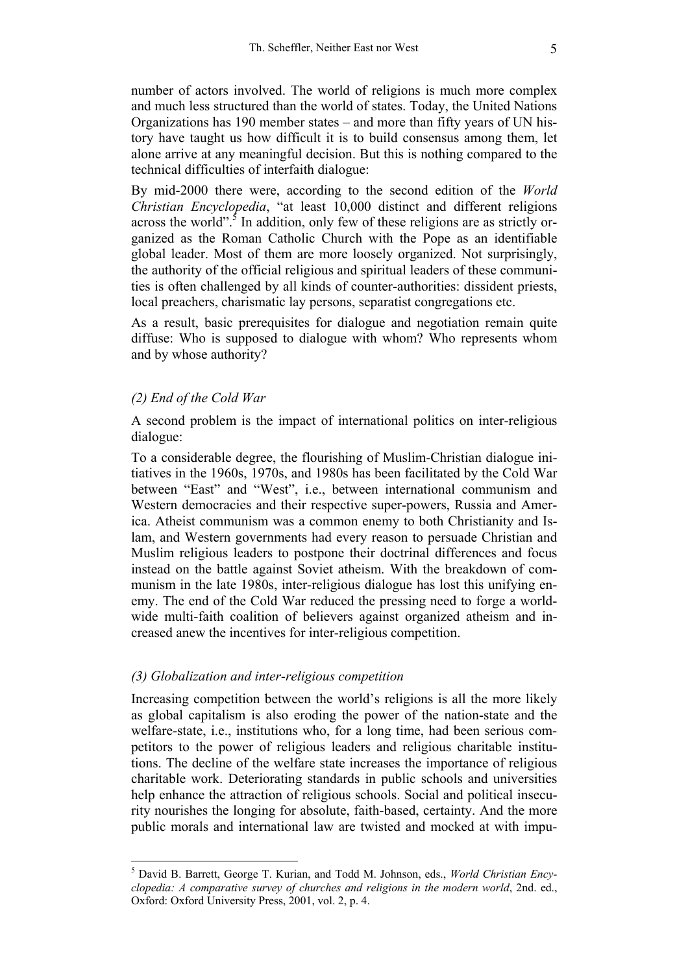number of actors involved. The world of religions is much more complex and much less structured than the world of states. Today, the United Nations Organizations has 190 member states – and more than fifty years of UN history have taught us how difficult it is to build consensus among them, let alone arrive at any meaningful decision. But this is nothing compared to the technical difficulties of interfaith dialogue:

By mid-2000 there were, according to the second edition of the *World Christian Encyclopedia*, "at least 10,000 distinct and different religions across the world".<sup>5</sup> In addition, only few of these religions are as strictly organized as the Roman Catholic Church with the Pope as an identifiable global leader. Most of them are more loosely organized. Not surprisingly, the authority of the official religious and spiritual leaders of these communities is often challenged by all kinds of counter-authorities: dissident priests, local preachers, charismatic lay persons, separatist congregations etc.

As a result, basic prerequisites for dialogue and negotiation remain quite diffuse: Who is supposed to dialogue with whom? Who represents whom and by whose authority?

### *(2) End of the Cold War*

 $\overline{a}$ 

A second problem is the impact of international politics on inter-religious dialogue:

To a considerable degree, the flourishing of Muslim-Christian dialogue initiatives in the 1960s, 1970s, and 1980s has been facilitated by the Cold War between "East" and "West", i.e., between international communism and Western democracies and their respective super-powers, Russia and America. Atheist communism was a common enemy to both Christianity and Islam, and Western governments had every reason to persuade Christian and Muslim religious leaders to postpone their doctrinal differences and focus instead on the battle against Soviet atheism. With the breakdown of communism in the late 1980s, inter-religious dialogue has lost this unifying enemy. The end of the Cold War reduced the pressing need to forge a worldwide multi-faith coalition of believers against organized atheism and increased anew the incentives for inter-religious competition.

### *(3) Globalization and inter-religious competition*

Increasing competition between the world's religions is all the more likely as global capitalism is also eroding the power of the nation-state and the welfare-state, i.e., institutions who, for a long time, had been serious competitors to the power of religious leaders and religious charitable institutions. The decline of the welfare state increases the importance of religious charitable work. Deteriorating standards in public schools and universities help enhance the attraction of religious schools. Social and political insecurity nourishes the longing for absolute, faith-based, certainty. And the more public morals and international law are twisted and mocked at with impu-

<sup>5</sup> David B. Barrett, George T. Kurian, and Todd M. Johnson, eds., *World Christian Encyclopedia: A comparative survey of churches and religions in the modern world*, 2nd. ed., Oxford: Oxford University Press, 2001, vol. 2, p. 4.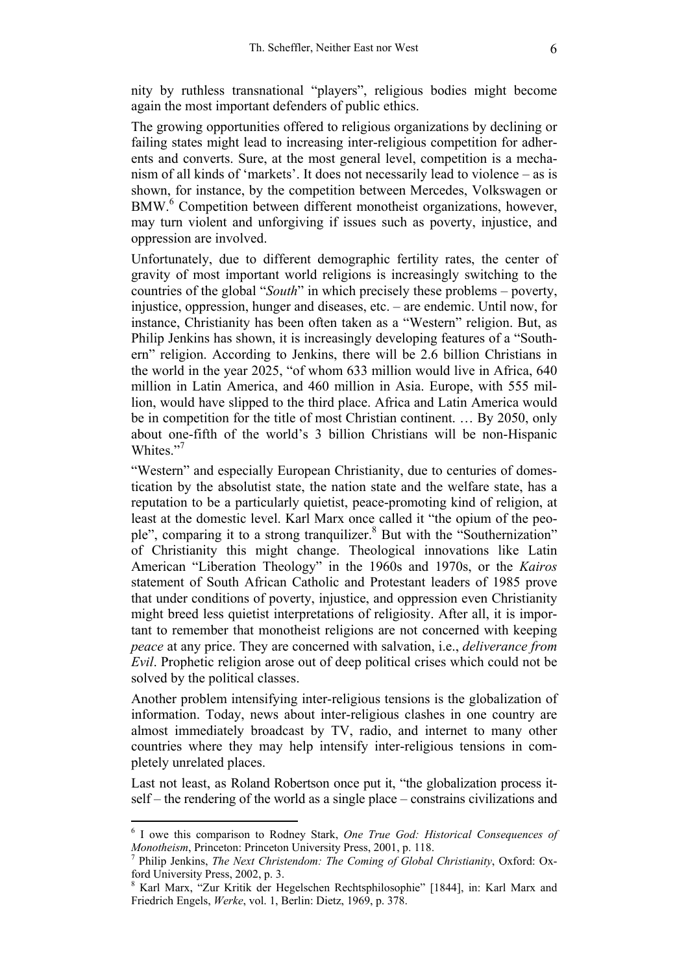nity by ruthless transnational "players", religious bodies might become again the most important defenders of public ethics.

The growing opportunities offered to religious organizations by declining or failing states might lead to increasing inter-religious competition for adherents and converts. Sure, at the most general level, competition is a mechanism of all kinds of 'markets'. It does not necessarily lead to violence – as is shown, for instance, by the competition between Mercedes, Volkswagen or BMW.<sup>6</sup> Competition between different monotheist organizations, however, may turn violent and unforgiving if issues such as poverty, injustice, and oppression are involved.

Unfortunately, due to different demographic fertility rates, the center of gravity of most important world religions is increasingly switching to the countries of the global "*South*" in which precisely these problems – poverty, injustice, oppression, hunger and diseases, etc. – are endemic. Until now, for instance, Christianity has been often taken as a "Western" religion. But, as Philip Jenkins has shown, it is increasingly developing features of a "Southern" religion. According to Jenkins, there will be 2.6 billion Christians in the world in the year 2025, "of whom 633 million would live in Africa, 640 million in Latin America, and 460 million in Asia. Europe, with 555 million, would have slipped to the third place. Africa and Latin America would be in competition for the title of most Christian continent. … By 2050, only about one-fifth of the world's 3 billion Christians will be non-Hispanic Whites."<sup>7</sup>

"Western" and especially European Christianity, due to centuries of domestication by the absolutist state, the nation state and the welfare state, has a reputation to be a particularly quietist, peace-promoting kind of religion, at least at the domestic level. Karl Marx once called it "the opium of the people", comparing it to a strong tranquilizer.<sup>8</sup> But with the "Southernization" of Christianity this might change. Theological innovations like Latin American "Liberation Theology" in the 1960s and 1970s, or the *Kairos* statement of South African Catholic and Protestant leaders of 1985 prove that under conditions of poverty, injustice, and oppression even Christianity might breed less quietist interpretations of religiosity. After all, it is important to remember that monotheist religions are not concerned with keeping *peace* at any price. They are concerned with salvation, i.e., *deliverance from Evil*. Prophetic religion arose out of deep political crises which could not be solved by the political classes.

Another problem intensifying inter-religious tensions is the globalization of information. Today, news about inter-religious clashes in one country are almost immediately broadcast by TV, radio, and internet to many other countries where they may help intensify inter-religious tensions in completely unrelated places.

Last not least, as Roland Robertson once put it, "the globalization process itself – the rendering of the world as a single place – constrains civilizations and

<sup>6</sup> I owe this comparison to Rodney Stark, *One True God: Historical Consequences of Monotheism*, Princeton: Princeton University Press, 2001, p. 118.

Philip Jenkins, *The Next Christendom: The Coming of Global Christianity*, Oxford: Oxford University Press, 2002, p. 3.

<sup>8</sup> Karl Marx, "Zur Kritik der Hegelschen Rechtsphilosophie" [1844], in: Karl Marx and Friedrich Engels, *Werke*, vol. 1, Berlin: Dietz, 1969, p. 378.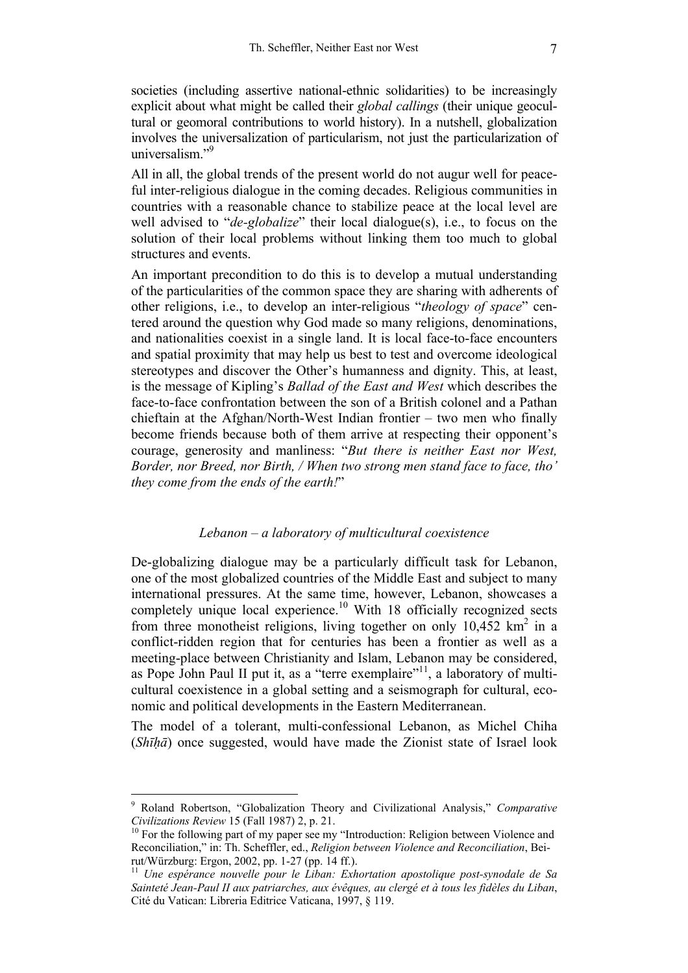societies (including assertive national-ethnic solidarities) to be increasingly explicit about what might be called their *global callings* (their unique geocultural or geomoral contributions to world history). In a nutshell, globalization involves the universalization of particularism, not just the particularization of universalism."<sup>9</sup>

All in all, the global trends of the present world do not augur well for peaceful inter-religious dialogue in the coming decades. Religious communities in countries with a reasonable chance to stabilize peace at the local level are well advised to "*de-globalize*" their local dialogue(s), i.e., to focus on the solution of their local problems without linking them too much to global structures and events.

An important precondition to do this is to develop a mutual understanding of the particularities of the common space they are sharing with adherents of other religions, i.e., to develop an inter-religious "*theology of space*" centered around the question why God made so many religions, denominations, and nationalities coexist in a single land. It is local face-to-face encounters and spatial proximity that may help us best to test and overcome ideological stereotypes and discover the Other's humanness and dignity. This, at least, is the message of Kipling's *Ballad of the East and West* which describes the face-to-face confrontation between the son of a British colonel and a Pathan chieftain at the Afghan/North-West Indian frontier – two men who finally become friends because both of them arrive at respecting their opponent's courage, generosity and manliness: "*But there is neither East nor West, Border, nor Breed, nor Birth, / When two strong men stand face to face, tho' they come from the ends of the earth!*"

### *Lebanon – a laboratory of multicultural coexistence*

De-globalizing dialogue may be a particularly difficult task for Lebanon, one of the most globalized countries of the Middle East and subject to many international pressures. At the same time, however, Lebanon, showcases a completely unique local experience.<sup>10</sup> With 18 officially recognized sects from three monotheist religions, living together on only  $10,452$  km<sup>2</sup> in a conflict-ridden region that for centuries has been a frontier as well as a meeting-place between Christianity and Islam, Lebanon may be considered, as Pope John Paul II put it, as a "terre exemplaire"<sup>11</sup>, a laboratory of multicultural coexistence in a global setting and a seismograph for cultural, economic and political developments in the Eastern Mediterranean.

The model of a tolerant, multi-confessional Lebanon, as Michel Chiha (*Shīhā*) once suggested, would have made the Zionist state of Israel look

<sup>9</sup> Roland Robertson, "Globalization Theory and Civilizational Analysis," *Comparative Civilizations Review* 15 (Fall 1987) 2, p. 21.<br><sup>10</sup> For the following part of my paper see my "Introduction: Religion between Violence and

Reconciliation," in: Th. Scheffler, ed., *Religion between Violence and Reconciliation*, Beirut/Würzburg: Ergon, 2002, pp. 1-27 (pp. 14 ff.).

<sup>11</sup> *Une espérance nouvelle pour le Liban: Exhortation apostolique post-synodale de Sa Sainteté Jean-Paul II aux patriarches, aux évêques, au clergé et à tous les fidèles du Liban*, Cité du Vatican: Libreria Editrice Vaticana, 1997, § 119.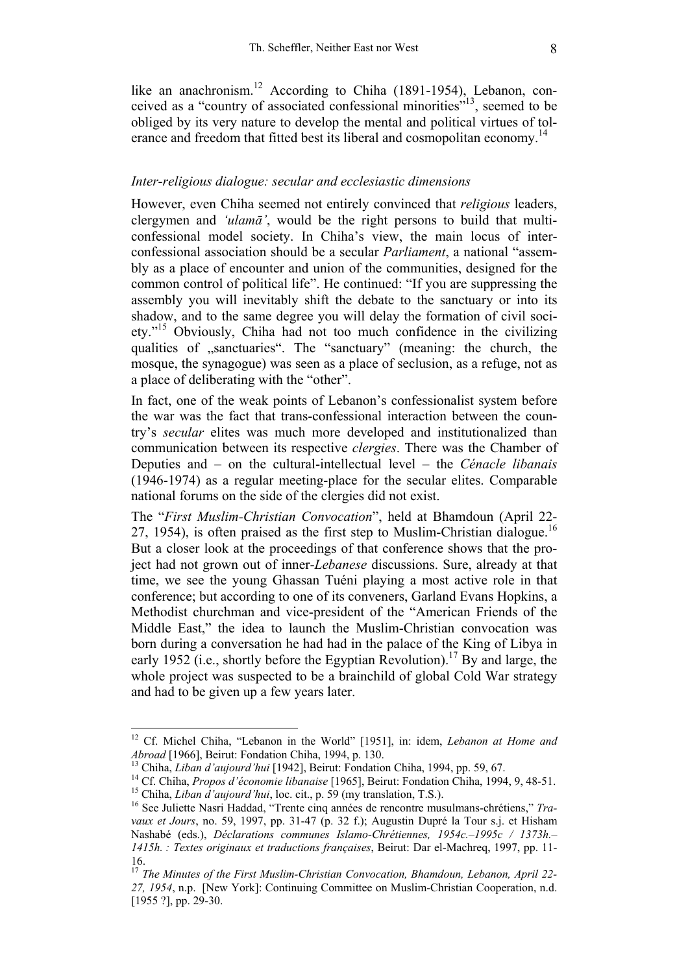like an anachronism.<sup>12</sup> According to Chiha (1891-1954), Lebanon, conceived as a "country of associated confessional minorities"13, seemed to be obliged by its very nature to develop the mental and political virtues of tolerance and freedom that fitted best its liberal and cosmopolitan economy.<sup>14</sup>

### *Inter-religious dialogue: secular and ecclesiastic dimensions*

However, even Chiha seemed not entirely convinced that *religious* leaders, clergymen and *'ulamā'*, would be the right persons to build that multiconfessional model society. In Chiha's view, the main locus of interconfessional association should be a secular *Parliament*, a national "assembly as a place of encounter and union of the communities, designed for the common control of political life". He continued: "If you are suppressing the assembly you will inevitably shift the debate to the sanctuary or into its shadow, and to the same degree you will delay the formation of civil society."15 Obviously, Chiha had not too much confidence in the civilizing qualities of "sanctuaries". The "sanctuary" (meaning: the church, the mosque, the synagogue) was seen as a place of seclusion, as a refuge, not as a place of deliberating with the "other".

In fact, one of the weak points of Lebanon's confessionalist system before the war was the fact that trans-confessional interaction between the country's *secular* elites was much more developed and institutionalized than communication between its respective *clergies*. There was the Chamber of Deputies and – on the cultural-intellectual level – the *Cénacle libanais* (1946-1974) as a regular meeting-place for the secular elites. Comparable national forums on the side of the clergies did not exist.

The "*First Muslim-Christian Convocation*", held at Bhamdoun (April 22- 27, 1954), is often praised as the first step to Muslim-Christian dialogue.<sup>16</sup> But a closer look at the proceedings of that conference shows that the project had not grown out of inner-*Lebanese* discussions. Sure, already at that time, we see the young Ghassan Tuéni playing a most active role in that conference; but according to one of its conveners, Garland Evans Hopkins, a Methodist churchman and vice-president of the "American Friends of the Middle East," the idea to launch the Muslim-Christian convocation was born during a conversation he had had in the palace of the King of Libya in early 1952 (i.e., shortly before the Egyptian Revolution).<sup>17</sup> By and large, the whole project was suspected to be a brainchild of global Cold War strategy and had to be given up a few years later.

<sup>&</sup>lt;sup>12</sup> Cf. Michel Chiha, "Lebanon in the World" [1951], in: idem, *Lebanon at Home and Abroad* [1966], Beirut: Fondation Chiha, 1994, p. 130.

<sup>&</sup>lt;sup>13</sup> Chiha, *Liban d'aujourd'hui* [1942], Beirut: Fondation Chiha, 1994, pp. 59, 67.<br><sup>14</sup> Cf. Chiha, *Propos d'économie libanaise* [1965], Beirut: Fondation Chiha, 1994, 9, 48-51.<br><sup>15</sup> Chiha, *Liban d'aujourd'hui*, loc. c

*vaux et Jours*, no. 59, 1997, pp. 31-47 (p. 32 f.); Augustin Dupré la Tour s.j. et Hisham Nashabé (eds.), *Déclarations communes Islamo-Chrétiennes, 1954c.–1995c / 1373h.– 1415h. : Textes originaux et traductions françaises*, Beirut: Dar el-Machreq, 1997, pp. 11- 16.

<sup>17</sup> *The Minutes of the First Muslim-Christian Convocation, Bhamdoun, Lebanon, April 22- 27, 1954*, n.p. [New York]: Continuing Committee on Muslim-Christian Cooperation, n.d. [1955 ?], pp. 29-30.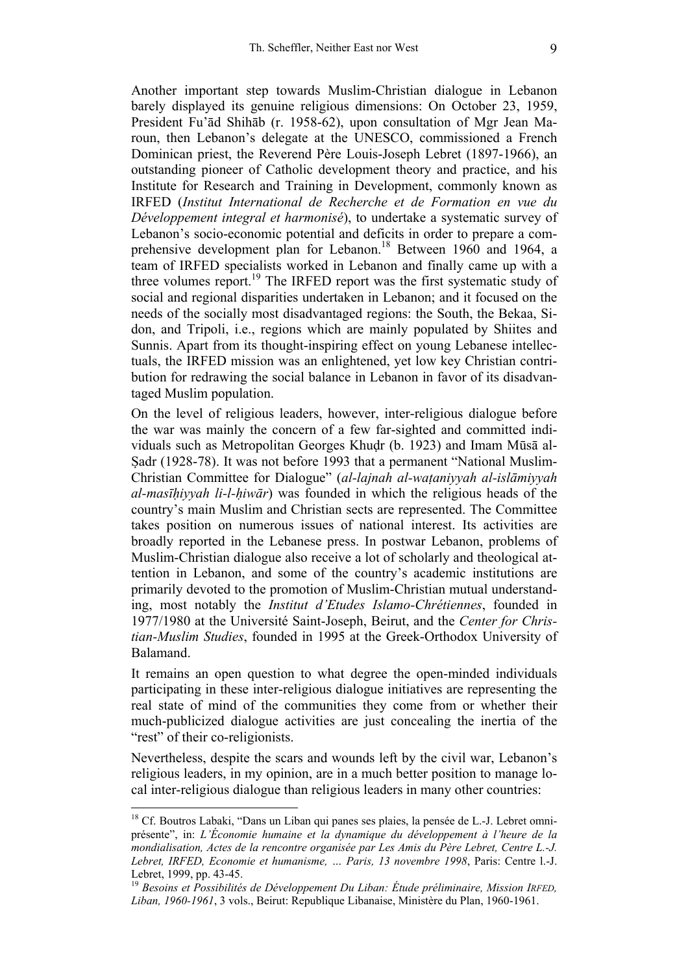Another important step towards Muslim-Christian dialogue in Lebanon barely displayed its genuine religious dimensions: On October 23, 1959, President Fu'ād Shihāb (r. 1958-62), upon consultation of Mgr Jean Maroun, then Lebanon's delegate at the UNESCO, commissioned a French Dominican priest, the Reverend Père Louis-Joseph Lebret (1897-1966), an outstanding pioneer of Catholic development theory and practice, and his Institute for Research and Training in Development, commonly known as IRFED (*Institut International de Recherche et de Formation en vue du Développement integral et harmonisé*), to undertake a systematic survey of Lebanon's socio-economic potential and deficits in order to prepare a comprehensive development plan for Lebanon.<sup>18</sup> Between 1960 and 1964, a team of IRFED specialists worked in Lebanon and finally came up with a three volumes report.<sup>19</sup> The IRFED report was the first systematic study of social and regional disparities undertaken in Lebanon; and it focused on the needs of the socially most disadvantaged regions: the South, the Bekaa, Sidon, and Tripoli, i.e., regions which are mainly populated by Shiites and Sunnis. Apart from its thought-inspiring effect on young Lebanese intellectuals, the IRFED mission was an enlightened, yet low key Christian contribution for redrawing the social balance in Lebanon in favor of its disadvantaged Muslim population.

On the level of religious leaders, however, inter-religious dialogue before the war was mainly the concern of a few far-sighted and committed individuals such as Metropolitan Georges Khudr (b. 1923) and Imam Mūsā al-Sadr (1928-78). It was not before 1993 that a permanent "National Muslim-Christian Committee for Dialogue" (*al-lajnah al-wataniyyah al-islāmiyyah al-masīhiyyah li-l-hiwār*) was founded in which the religious heads of the country's main Muslim and Christian sects are represented. The Committee takes position on numerous issues of national interest. Its activities are broadly reported in the Lebanese press. In postwar Lebanon, problems of Muslim-Christian dialogue also receive a lot of scholarly and theological attention in Lebanon, and some of the country's academic institutions are primarily devoted to the promotion of Muslim-Christian mutual understanding, most notably the *Institut d'Etudes Islamo-Chrétiennes*, founded in 1977/1980 at the Université Saint-Joseph, Beirut, and the *Center for Christian-Muslim Studies*, founded in 1995 at the Greek-Orthodox University of Balamand.

It remains an open question to what degree the open-minded individuals participating in these inter-religious dialogue initiatives are representing the real state of mind of the communities they come from or whether their much-publicized dialogue activities are just concealing the inertia of the "rest" of their co-religionists.

Nevertheless, despite the scars and wounds left by the civil war, Lebanon's religious leaders, in my opinion, are in a much better position to manage local inter-religious dialogue than religious leaders in many other countries:

<sup>&</sup>lt;sup>18</sup> Cf. Boutros Labaki, "Dans un Liban qui panes ses plaies, la pensée de L.-J. Lebret omniprésente", in: *L'Économie humaine et la dynamique du développement à l'heure de la mondialisation, Actes de la rencontre organisée par Les Amis du Père Lebret, Centre L.-J. Lebret, IRFED, Economie et humanisme, … Paris, 13 novembre 1998*, Paris: Centre l.-J. Lebret, 1999, pp. 43-45.

<sup>19</sup> *Besoins et Possibilités de Développement Du Liban: Étude préliminaire, Mission IRFED, Liban, 1960-1961*, 3 vols., Beirut: Republique Libanaise, Ministère du Plan, 1960-1961.